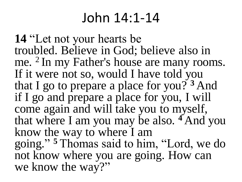## John 14:1-14

**14** "Let not your hearts be troubled. Believe in God; believe also in me. <sup>2</sup> In my Father's house are many rooms. If it were not so, would I have told you that I go to prepare a place for you? **<sup>3</sup>** And if I go and prepare a place for you, I will come again and will take you to myself, that where I am you may be also. **<sup>4</sup>** And you know the way to where I am going." **<sup>5</sup>** Thomas said to him, "Lord, we do not know where you are going. How can we know the way?"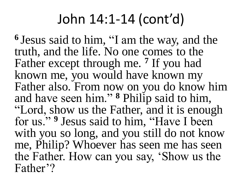## John 14:1-14 (cont'd)

**<sup>6</sup>**Jesus said to him, "I am the way, and the truth, and the life. No one comes to the Father except through me. **<sup>7</sup>** If you had known me, you would have known my Father also. From now on you do know him and have seen him." **<sup>8</sup>** Philip said to him, "Lord, show us the Father, and it is enough for us." **<sup>9</sup>** Jesus said to him, "Have I been with you so long, and you still do not know me, Philip? Whoever has seen me has seen the Father. How can you say, 'Show us the Father'?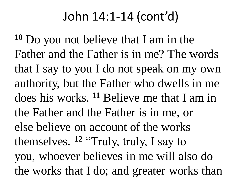## John 14:1-14 (cont'd)

**<sup>10</sup>** Do you not believe that I am in the Father and the Father is in me? The words that I say to you I do not speak on my own authority, but the Father who dwells in me does his works. **<sup>11</sup>** Believe me that I am in the Father and the Father is in me, or else believe on account of the works themselves. **<sup>12</sup>** "Truly, truly, I say to you, whoever believes in me will also do the works that I do; and greater works than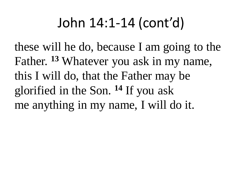## John 14:1-14 (cont'd)

these will he do, because I am going to the Father. **<sup>13</sup>** Whatever you ask in my name, this I will do, that the Father may be glorified in the Son. **<sup>14</sup>** If you ask me anything in my name, I will do it.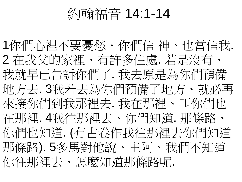约翰福音 14:1-14

1你們心裡不要憂愁 · 你們信 神、也當信我. 2 在我父的家裡、有許多住處. 若是沒有、 我就早已告訴你們了. 我去原是為你們預備 地方去. 3我若去為你們預備了地方、就必再 來接你們到我那裡去. 我在那裡、叫你們也 在那裡. 4我往那裡去、你們知道. 那條路、 你們也知道. (有古卷作我往那裡去你們知道 那條路). 5多馬對他說、主阿、我們不知道 你往那裡去、怎麼知道那條路呢.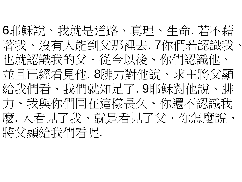6耶穌說、我就是道路、真理、生命. 若不藉 著我、沒有人能到父那裡去. 7你們若認識我、 也就認識我的父 · 從今以後、你們認識他、 並且已經看見他. 8腓力對他說、求主將父顯 給我們看、我們就知足了. 9耶穌對他說、腓 力、我與你們同在這樣長久、你還不認識我 麼. 人看見了我、就是看見了父·你怎麼說、 將父顯給我們看呢.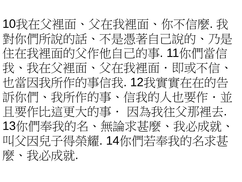10我在父裡面、父在我裡面、你不信麼. 我 對你們所說的話、不是憑著自己說的、乃是 住在我裡面的父作他自己的事. 11你們當信 我、我在父裡面、父在我裡面.即或不信、 也當因我所作的事信我. 12我實實在在的告 訴你們、我所作的事、信我的人也要作.並 且要作比這更大的事 · 因為我往父那裡去. 13你們奉我的名、無論求甚麼、我必成就、 叫父因兒子得榮耀. 14你們若奉我的名求甚 麼、我必成就.